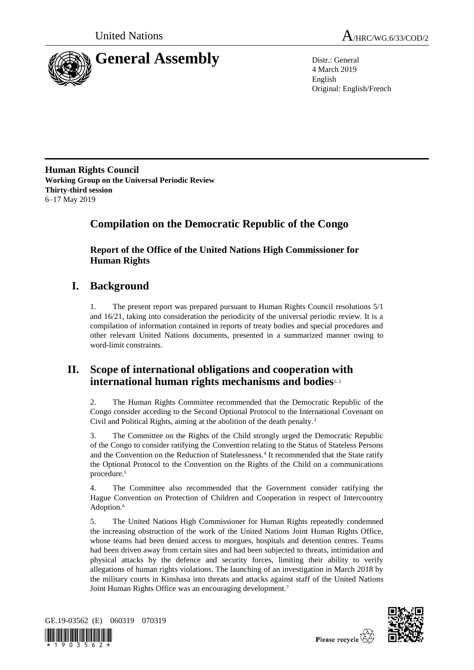



4 March 2019 English Original: English/French

**Human Rights Council Working Group on the Universal Periodic Review Thirty-third session** 6–17 May 2019

# **Compilation on the Democratic Republic of the Congo**

**Report of the Office of the United Nations High Commissioner for Human Rights**

# **I. Background**

1. The present report was prepared pursuant to Human Rights Council resolutions 5/1 and 16/21, taking into consideration the periodicity of the universal periodic review. It is a compilation of information contained in reports of treaty bodies and special procedures and other relevant United Nations documents, presented in a summarized manner owing to word-limit constraints.

# **II. Scope of international obligations and cooperation with international human rights mechanisms and bodies**1, <sup>2</sup>

2. The Human Rights Committee recommended that the Democratic Republic of the Congo consider acceding to the Second Optional Protocol to the International Covenant on Civil and Political Rights, aiming at the abolition of the death penalty.<sup>3</sup>

3. The Committee on the Rights of the Child strongly urged the Democratic Republic of the Congo to consider ratifying the Convention relating to the Status of Stateless Persons and the Convention on the Reduction of Statelessness.<sup>4</sup> It recommended that the State ratify the Optional Protocol to the Convention on the Rights of the Child on a communications procedure.<sup>5</sup>

4. The Committee also recommended that the Government consider ratifying the Hague Convention on Protection of Children and Cooperation in respect of Intercountry Adoption.<sup>6</sup>

5. The United Nations High Commissioner for Human Rights repeatedly condemned the increasing obstruction of the work of the United Nations Joint Human Rights Office, whose teams had been denied access to morgues, hospitals and detention centres. Teams had been driven away from certain sites and had been subjected to threats, intimidation and physical attacks by the defence and security forces, limiting their ability to verify allegations of human rights violations. The launching of an investigation in March 2018 by the military courts in Kinshasa into threats and attacks against staff of the United Nations Joint Human Rights Office was an encouraging development.<sup>7</sup>



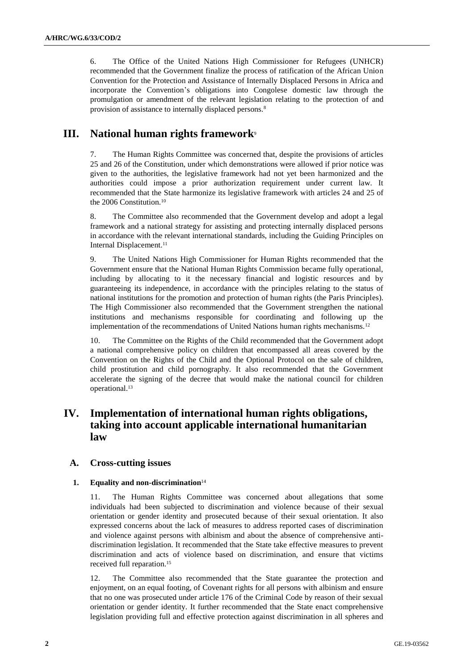6. The Office of the United Nations High Commissioner for Refugees (UNHCR) recommended that the Government finalize the process of ratification of the African Union Convention for the Protection and Assistance of Internally Displaced Persons in Africa and incorporate the Convention's obligations into Congolese domestic law through the promulgation or amendment of the relevant legislation relating to the protection of and provision of assistance to internally displaced persons.<sup>8</sup>

# **III. National human rights framework**<sup>9</sup>

7. The Human Rights Committee was concerned that, despite the provisions of articles 25 and 26 of the Constitution, under which demonstrations were allowed if prior notice was given to the authorities, the legislative framework had not yet been harmonized and the authorities could impose a prior authorization requirement under current law. It recommended that the State harmonize its legislative framework with articles 24 and 25 of the 2006 Constitution.<sup>10</sup>

8. The Committee also recommended that the Government develop and adopt a legal framework and a national strategy for assisting and protecting internally displaced persons in accordance with the relevant international standards, including the Guiding Principles on Internal Displacement.<sup>11</sup>

9. The United Nations High Commissioner for Human Rights recommended that the Government ensure that the National Human Rights Commission became fully operational, including by allocating to it the necessary financial and logistic resources and by guaranteeing its independence, in accordance with the principles relating to the status of national institutions for the promotion and protection of human rights (the Paris Principles). The High Commissioner also recommended that the Government strengthen the national institutions and mechanisms responsible for coordinating and following up the implementation of the recommendations of United Nations human rights mechanisms.<sup>12</sup>

10. The Committee on the Rights of the Child recommended that the Government adopt a national comprehensive policy on children that encompassed all areas covered by the Convention on the Rights of the Child and the Optional Protocol on the sale of children, child prostitution and child pornography. It also recommended that the Government accelerate the signing of the decree that would make the national council for children operational.<sup>13</sup>

# **IV. Implementation of international human rights obligations, taking into account applicable international humanitarian law**

## **A. Cross-cutting issues**

### **1. Equality and non-discrimination**<sup>14</sup>

11. The Human Rights Committee was concerned about allegations that some individuals had been subjected to discrimination and violence because of their sexual orientation or gender identity and prosecuted because of their sexual orientation. It also expressed concerns about the lack of measures to address reported cases of discrimination and violence against persons with albinism and about the absence of comprehensive antidiscrimination legislation. It recommended that the State take effective measures to prevent discrimination and acts of violence based on discrimination, and ensure that victims received full reparation.<sup>15</sup>

12. The Committee also recommended that the State guarantee the protection and enjoyment, on an equal footing, of Covenant rights for all persons with albinism and ensure that no one was prosecuted under article 176 of the Criminal Code by reason of their sexual orientation or gender identity. It further recommended that the State enact comprehensive legislation providing full and effective protection against discrimination in all spheres and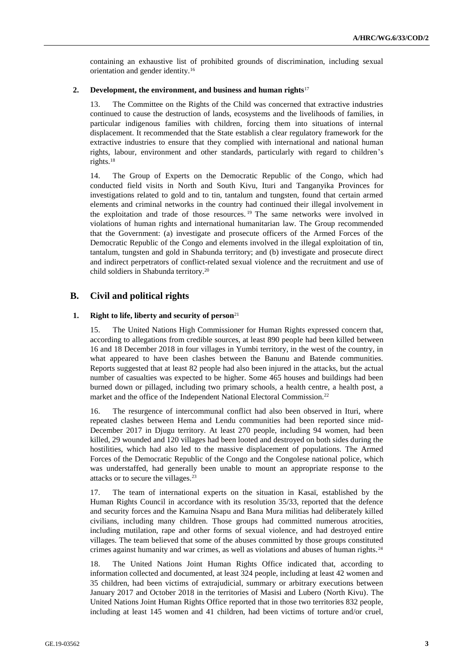containing an exhaustive list of prohibited grounds of discrimination, including sexual orientation and gender identity.<sup>16</sup>

#### **2. Development, the environment, and business and human rights**<sup>17</sup>

13. The Committee on the Rights of the Child was concerned that extractive industries continued to cause the destruction of lands, ecosystems and the livelihoods of families, in particular indigenous families with children, forcing them into situations of internal displacement. It recommended that the State establish a clear regulatory framework for the extractive industries to ensure that they complied with international and national human rights, labour, environment and other standards, particularly with regard to children's rights.<sup>18</sup>

14. The Group of Experts on the Democratic Republic of the Congo, which had conducted field visits in North and South Kivu, Ituri and Tanganyika Provinces for investigations related to gold and to tin, tantalum and tungsten, found that certain armed elements and criminal networks in the country had continued their illegal involvement in the exploitation and trade of those resources. <sup>19</sup> The same networks were involved in violations of human rights and international humanitarian law. The Group recommended that the Government: (a) investigate and prosecute officers of the Armed Forces of the Democratic Republic of the Congo and elements involved in the illegal exploitation of tin, tantalum, tungsten and gold in Shabunda territory; and (b) investigate and prosecute direct and indirect perpetrators of conflict-related sexual violence and the recruitment and use of child soldiers in Shabunda territory.<sup>20</sup>

# **B. Civil and political rights**

#### **1. Right to life, liberty and security of person**<sup>21</sup>

15. The United Nations High Commissioner for Human Rights expressed concern that, according to allegations from credible sources, at least 890 people had been killed between 16 and 18 December 2018 in four villages in Yumbi territory, in the west of the country, in what appeared to have been clashes between the Banunu and Batende communities. Reports suggested that at least 82 people had also been injured in the attacks, but the actual number of casualties was expected to be higher. Some 465 houses and buildings had been burned down or pillaged, including two primary schools, a health centre, a health post, a market and the office of the Independent National Electoral Commission.<sup>22</sup>

16. The resurgence of intercommunal conflict had also been observed in Ituri, where repeated clashes between Hema and Lendu communities had been reported since mid-December 2017 in Djugu territory. At least 270 people, including 94 women, had been killed, 29 wounded and 120 villages had been looted and destroyed on both sides during the hostilities, which had also led to the massive displacement of populations. The Armed Forces of the Democratic Republic of the Congo and the Congolese national police, which was understaffed, had generally been unable to mount an appropriate response to the attacks or to secure the villages.<sup>23</sup>

17. The team of international experts on the situation in Kasaï, established by the Human Rights Council in accordance with its resolution 35/33, reported that the defence and security forces and the Kamuina Nsapu and Bana Mura militias had deliberately killed civilians, including many children. Those groups had committed numerous atrocities, including mutilation, rape and other forms of sexual violence, and had destroyed entire villages. The team believed that some of the abuses committed by those groups constituted crimes against humanity and war crimes, as well as violations and abuses of human rights.<sup>24</sup>

18. The United Nations Joint Human Rights Office indicated that, according to information collected and documented, at least 324 people, including at least 42 women and 35 children, had been victims of extrajudicial, summary or arbitrary executions between January 2017 and October 2018 in the territories of Masisi and Lubero (North Kivu). The United Nations Joint Human Rights Office reported that in those two territories 832 people, including at least 145 women and 41 children, had been victims of torture and/or cruel,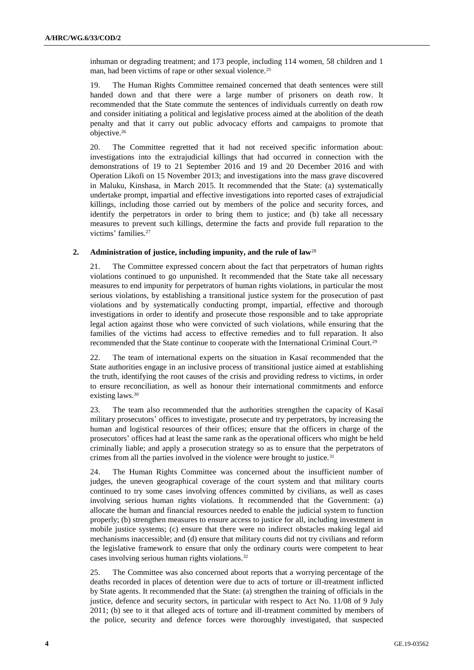inhuman or degrading treatment; and 173 people, including 114 women, 58 children and 1 man, had been victims of rape or other sexual violence.<sup>25</sup>

19. The Human Rights Committee remained concerned that death sentences were still handed down and that there were a large number of prisoners on death row. It recommended that the State commute the sentences of individuals currently on death row and consider initiating a political and legislative process aimed at the abolition of the death penalty and that it carry out public advocacy efforts and campaigns to promote that objective.<sup>26</sup>

20. The Committee regretted that it had not received specific information about: investigations into the extrajudicial killings that had occurred in connection with the demonstrations of 19 to 21 September 2016 and 19 and 20 December 2016 and with Operation Likofi on 15 November 2013; and investigations into the mass grave discovered in Maluku, Kinshasa, in March 2015. It recommended that the State: (a) systematically undertake prompt, impartial and effective investigations into reported cases of extrajudicial killings, including those carried out by members of the police and security forces, and identify the perpetrators in order to bring them to justice; and (b) take all necessary measures to prevent such killings, determine the facts and provide full reparation to the victims' families.<sup>27</sup>

#### **2. Administration of justice, including impunity, and the rule of law**<sup>28</sup>

21. The Committee expressed concern about the fact that perpetrators of human rights violations continued to go unpunished. It recommended that the State take all necessary measures to end impunity for perpetrators of human rights violations, in particular the most serious violations, by establishing a transitional justice system for the prosecution of past violations and by systematically conducting prompt, impartial, effective and thorough investigations in order to identify and prosecute those responsible and to take appropriate legal action against those who were convicted of such violations, while ensuring that the families of the victims had access to effective remedies and to full reparation. It also recommended that the State continue to cooperate with the International Criminal Court.<sup>29</sup>

22. The team of international experts on the situation in Kasaï recommended that the State authorities engage in an inclusive process of transitional justice aimed at establishing the truth, identifying the root causes of the crisis and providing redress to victims, in order to ensure reconciliation, as well as honour their international commitments and enforce existing laws.<sup>30</sup>

23. The team also recommended that the authorities strengthen the capacity of Kasaï military prosecutors' offices to investigate, prosecute and try perpetrators, by increasing the human and logistical resources of their offices; ensure that the officers in charge of the prosecutors' offices had at least the same rank as the operational officers who might be held criminally liable; and apply a prosecution strategy so as to ensure that the perpetrators of crimes from all the parties involved in the violence were brought to justice.<sup>31</sup>

24. The Human Rights Committee was concerned about the insufficient number of judges, the uneven geographical coverage of the court system and that military courts continued to try some cases involving offences committed by civilians, as well as cases involving serious human rights violations. It recommended that the Government: (a) allocate the human and financial resources needed to enable the judicial system to function properly; (b) strengthen measures to ensure access to justice for all, including investment in mobile justice systems; (c) ensure that there were no indirect obstacles making legal aid mechanisms inaccessible; and (d) ensure that military courts did not try civilians and reform the legislative framework to ensure that only the ordinary courts were competent to hear cases involving serious human rights violations.<sup>32</sup>

25. The Committee was also concerned about reports that a worrying percentage of the deaths recorded in places of detention were due to acts of torture or ill-treatment inflicted by State agents. It recommended that the State: (a) strengthen the training of officials in the justice, defence and security sectors, in particular with respect to Act No. 11/08 of 9 July 2011; (b) see to it that alleged acts of torture and ill-treatment committed by members of the police, security and defence forces were thoroughly investigated, that suspected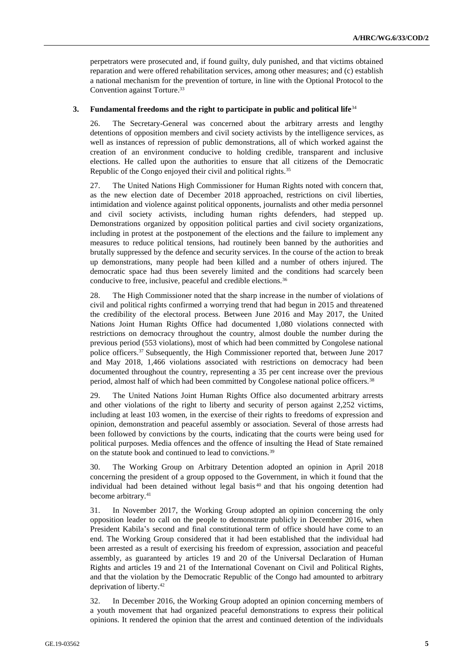perpetrators were prosecuted and, if found guilty, duly punished, and that victims obtained reparation and were offered rehabilitation services, among other measures; and (c) establish a national mechanism for the prevention of torture, in line with the Optional Protocol to the Convention against Torture.<sup>33</sup>

#### **3. Fundamental freedoms and the right to participate in public and political life**<sup>34</sup>

26. The Secretary-General was concerned about the arbitrary arrests and lengthy detentions of opposition members and civil society activists by the intelligence services, as well as instances of repression of public demonstrations, all of which worked against the creation of an environment conducive to holding credible, transparent and inclusive elections. He called upon the authorities to ensure that all citizens of the Democratic Republic of the Congo enjoyed their civil and political rights.<sup>35</sup>

27. The United Nations High Commissioner for Human Rights noted with concern that, as the new election date of December 2018 approached, restrictions on civil liberties, intimidation and violence against political opponents, journalists and other media personnel and civil society activists, including human rights defenders, had stepped up. Demonstrations organized by opposition political parties and civil society organizations, including in protest at the postponement of the elections and the failure to implement any measures to reduce political tensions, had routinely been banned by the authorities and brutally suppressed by the defence and security services. In the course of the action to break up demonstrations, many people had been killed and a number of others injured. The democratic space had thus been severely limited and the conditions had scarcely been conducive to free, inclusive, peaceful and credible elections.<sup>36</sup>

28. The High Commissioner noted that the sharp increase in the number of violations of civil and political rights confirmed a worrying trend that had begun in 2015 and threatened the credibility of the electoral process. Between June 2016 and May 2017, the United Nations Joint Human Rights Office had documented 1,080 violations connected with restrictions on democracy throughout the country, almost double the number during the previous period (553 violations), most of which had been committed by Congolese national police officers.<sup>37</sup> Subsequently, the High Commissioner reported that, between June 2017 and May 2018, 1,466 violations associated with restrictions on democracy had been documented throughout the country, representing a 35 per cent increase over the previous period, almost half of which had been committed by Congolese national police officers.<sup>38</sup>

29. The United Nations Joint Human Rights Office also documented arbitrary arrests and other violations of the right to liberty and security of person against 2,252 victims, including at least 103 women, in the exercise of their rights to freedoms of expression and opinion, demonstration and peaceful assembly or association. Several of those arrests had been followed by convictions by the courts, indicating that the courts were being used for political purposes. Media offences and the offence of insulting the Head of State remained on the statute book and continued to lead to convictions.<sup>39</sup>

30. The Working Group on Arbitrary Detention adopted an opinion in April 2018 concerning the president of a group opposed to the Government, in which it found that the individual had been detained without legal basis<sup>40</sup> and that his ongoing detention had become arbitrary.<sup>41</sup>

31. In November 2017, the Working Group adopted an opinion concerning the only opposition leader to call on the people to demonstrate publicly in December 2016, when President Kabila's second and final constitutional term of office should have come to an end. The Working Group considered that it had been established that the individual had been arrested as a result of exercising his freedom of expression, association and peaceful assembly, as guaranteed by articles 19 and 20 of the Universal Declaration of Human Rights and articles 19 and 21 of the International Covenant on Civil and Political Rights, and that the violation by the Democratic Republic of the Congo had amounted to arbitrary deprivation of liberty.<sup>42</sup>

32. In December 2016, the Working Group adopted an opinion concerning members of a youth movement that had organized peaceful demonstrations to express their political opinions. It rendered the opinion that the arrest and continued detention of the individuals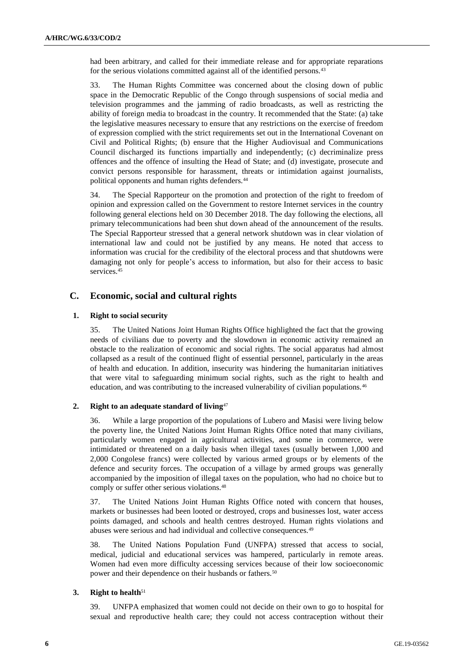had been arbitrary, and called for their immediate release and for appropriate reparations for the serious violations committed against all of the identified persons.<sup>43</sup>

33. The Human Rights Committee was concerned about the closing down of public space in the Democratic Republic of the Congo through suspensions of social media and television programmes and the jamming of radio broadcasts, as well as restricting the ability of foreign media to broadcast in the country. It recommended that the State: (a) take the legislative measures necessary to ensure that any restrictions on the exercise of freedom of expression complied with the strict requirements set out in the International Covenant on Civil and Political Rights; (b) ensure that the Higher Audiovisual and Communications Council discharged its functions impartially and independently; (c) decriminalize press offences and the offence of insulting the Head of State; and (d) investigate, prosecute and convict persons responsible for harassment, threats or intimidation against journalists, political opponents and human rights defenders.<sup>44</sup>

34. The Special Rapporteur on the promotion and protection of the right to freedom of opinion and expression called on the Government to restore Internet services in the country following general elections held on 30 December 2018. The day following the elections, all primary telecommunications had been shut down ahead of the announcement of the results. The Special Rapporteur stressed that a general network shutdown was in clear violation of international law and could not be justified by any means. He noted that access to information was crucial for the credibility of the electoral process and that shutdowns were damaging not only for people's access to information, but also for their access to basic services.<sup>45</sup>

# **C. Economic, social and cultural rights**

### **1. Right to social security**

35. The United Nations Joint Human Rights Office highlighted the fact that the growing needs of civilians due to poverty and the slowdown in economic activity remained an obstacle to the realization of economic and social rights. The social apparatus had almost collapsed as a result of the continued flight of essential personnel, particularly in the areas of health and education. In addition, insecurity was hindering the humanitarian initiatives that were vital to safeguarding minimum social rights, such as the right to health and education, and was contributing to the increased vulnerability of civilian populations.<sup>46</sup>

## **2. Right to an adequate standard of living**<sup>47</sup>

36. While a large proportion of the populations of Lubero and Masisi were living below the poverty line, the United Nations Joint Human Rights Office noted that many civilians, particularly women engaged in agricultural activities, and some in commerce, were intimidated or threatened on a daily basis when illegal taxes (usually between 1,000 and 2,000 Congolese francs) were collected by various armed groups or by elements of the defence and security forces. The occupation of a village by armed groups was generally accompanied by the imposition of illegal taxes on the population, who had no choice but to comply or suffer other serious violations.<sup>48</sup>

37. The United Nations Joint Human Rights Office noted with concern that houses, markets or businesses had been looted or destroyed, crops and businesses lost, water access points damaged, and schools and health centres destroyed. Human rights violations and abuses were serious and had individual and collective consequences.<sup>49</sup>

38. The United Nations Population Fund (UNFPA) stressed that access to social, medical, judicial and educational services was hampered, particularly in remote areas. Women had even more difficulty accessing services because of their low socioeconomic power and their dependence on their husbands or fathers.<sup>50</sup>

### **3. Right to health**<sup>51</sup>

39. UNFPA emphasized that women could not decide on their own to go to hospital for sexual and reproductive health care; they could not access contraception without their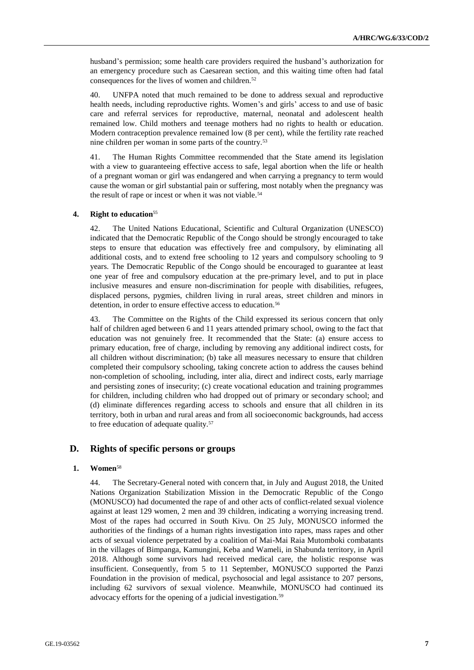husband's permission; some health care providers required the husband's authorization for an emergency procedure such as Caesarean section, and this waiting time often had fatal consequences for the lives of women and children.<sup>52</sup>

40. UNFPA noted that much remained to be done to address sexual and reproductive health needs, including reproductive rights. Women's and girls' access to and use of basic care and referral services for reproductive, maternal, neonatal and adolescent health remained low. Child mothers and teenage mothers had no rights to health or education. Modern contraception prevalence remained low (8 per cent), while the fertility rate reached nine children per woman in some parts of the country.<sup>53</sup>

41. The Human Rights Committee recommended that the State amend its legislation with a view to guaranteeing effective access to safe, legal abortion when the life or health of a pregnant woman or girl was endangered and when carrying a pregnancy to term would cause the woman or girl substantial pain or suffering, most notably when the pregnancy was the result of rape or incest or when it was not viable.<sup>54</sup>

#### **4. Right to education**<sup>55</sup>

42. The United Nations Educational, Scientific and Cultural Organization (UNESCO) indicated that the Democratic Republic of the Congo should be strongly encouraged to take steps to ensure that education was effectively free and compulsory, by eliminating all additional costs, and to extend free schooling to 12 years and compulsory schooling to 9 years. The Democratic Republic of the Congo should be encouraged to guarantee at least one year of free and compulsory education at the pre-primary level, and to put in place inclusive measures and ensure non-discrimination for people with disabilities, refugees, displaced persons, pygmies, children living in rural areas, street children and minors in detention, in order to ensure effective access to education.<sup>56</sup>

43. The Committee on the Rights of the Child expressed its serious concern that only half of children aged between 6 and 11 years attended primary school, owing to the fact that education was not genuinely free. It recommended that the State: (a) ensure access to primary education, free of charge, including by removing any additional indirect costs, for all children without discrimination; (b) take all measures necessary to ensure that children completed their compulsory schooling, taking concrete action to address the causes behind non-completion of schooling, including, inter alia, direct and indirect costs, early marriage and persisting zones of insecurity; (c) create vocational education and training programmes for children, including children who had dropped out of primary or secondary school; and (d) eliminate differences regarding access to schools and ensure that all children in its territory, both in urban and rural areas and from all socioeconomic backgrounds, had access to free education of adequate quality.<sup>57</sup>

# **D. Rights of specific persons or groups**

#### **1. Women**<sup>58</sup>

44. The Secretary-General noted with concern that, in July and August 2018, the United Nations Organization Stabilization Mission in the Democratic Republic of the Congo (MONUSCO) had documented the rape of and other acts of conflict-related sexual violence against at least 129 women, 2 men and 39 children, indicating a worrying increasing trend. Most of the rapes had occurred in South Kivu. On 25 July, MONUSCO informed the authorities of the findings of a human rights investigation into rapes, mass rapes and other acts of sexual violence perpetrated by a coalition of Mai-Mai Raia Mutomboki combatants in the villages of Bimpanga, Kamungini, Keba and Wameli, in Shabunda territory, in April 2018. Although some survivors had received medical care, the holistic response was insufficient. Consequently, from 5 to 11 September, MONUSCO supported the Panzi Foundation in the provision of medical, psychosocial and legal assistance to 207 persons, including 62 survivors of sexual violence. Meanwhile, MONUSCO had continued its advocacy efforts for the opening of a judicial investigation.59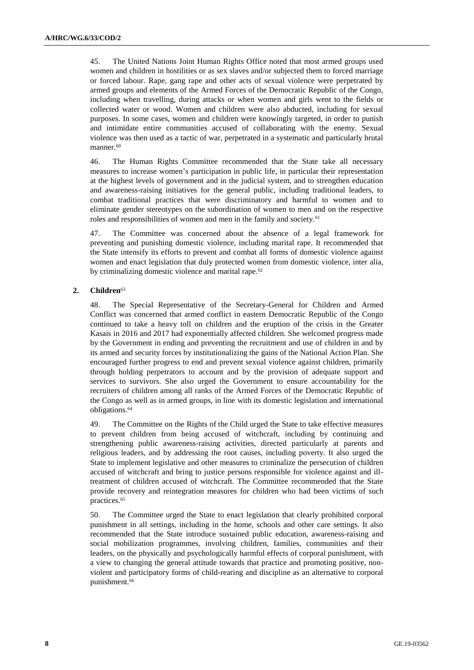45. The United Nations Joint Human Rights Office noted that most armed groups used women and children in hostilities or as sex slaves and/or subjected them to forced marriage or forced labour. Rape, gang rape and other acts of sexual violence were perpetrated by armed groups and elements of the Armed Forces of the Democratic Republic of the Congo, including when travelling, during attacks or when women and girls went to the fields or collected water or wood. Women and children were also abducted, including for sexual purposes. In some cases, women and children were knowingly targeted, in order to punish and intimidate entire communities accused of collaborating with the enemy. Sexual violence was then used as a tactic of war, perpetrated in a systematic and particularly brutal manner.<sup>60</sup>

46. The Human Rights Committee recommended that the State take all necessary measures to increase women's participation in public life, in particular their representation at the highest levels of government and in the judicial system, and to strengthen education and awareness-raising initiatives for the general public, including traditional leaders, to combat traditional practices that were discriminatory and harmful to women and to eliminate gender stereotypes on the subordination of women to men and on the respective roles and responsibilities of women and men in the family and society.<sup>61</sup>

47. The Committee was concerned about the absence of a legal framework for preventing and punishing domestic violence, including marital rape. It recommended that the State intensify its efforts to prevent and combat all forms of domestic violence against women and enact legislation that duly protected women from domestic violence, inter alia, by criminalizing domestic violence and marital rape.<sup>62</sup>

## **2. Children**<sup>63</sup>

48. The Special Representative of the Secretary-General for Children and Armed Conflict was concerned that armed conflict in eastern Democratic Republic of the Congo continued to take a heavy toll on children and the eruption of the crisis in the Greater Kasais in 2016 and 2017 had exponentially affected children. She welcomed progress made by the Government in ending and preventing the recruitment and use of children in and by its armed and security forces by institutionalizing the gains of the National Action Plan. She encouraged further progress to end and prevent sexual violence against children, primarily through holding perpetrators to account and by the provision of adequate support and services to survivors. She also urged the Government to ensure accountability for the recruiters of children among all ranks of the Armed Forces of the Democratic Republic of the Congo as well as in armed groups, in line with its domestic legislation and international obligations.<sup>64</sup>

49. The Committee on the Rights of the Child urged the State to take effective measures to prevent children from being accused of witchcraft, including by continuing and strengthening public awareness-raising activities, directed particularly at parents and religious leaders, and by addressing the root causes, including poverty. It also urged the State to implement legislative and other measures to criminalize the persecution of children accused of witchcraft and bring to justice persons responsible for violence against and illtreatment of children accused of witchcraft. The Committee recommended that the State provide recovery and reintegration measures for children who had been victims of such practices.<sup>65</sup>

50. The Committee urged the State to enact legislation that clearly prohibited corporal punishment in all settings, including in the home, schools and other care settings. It also recommended that the State introduce sustained public education, awareness-raising and social mobilization programmes, involving children, families, communities and their leaders, on the physically and psychologically harmful effects of corporal punishment, with a view to changing the general attitude towards that practice and promoting positive, nonviolent and participatory forms of child-rearing and discipline as an alternative to corporal punishment.<sup>66</sup>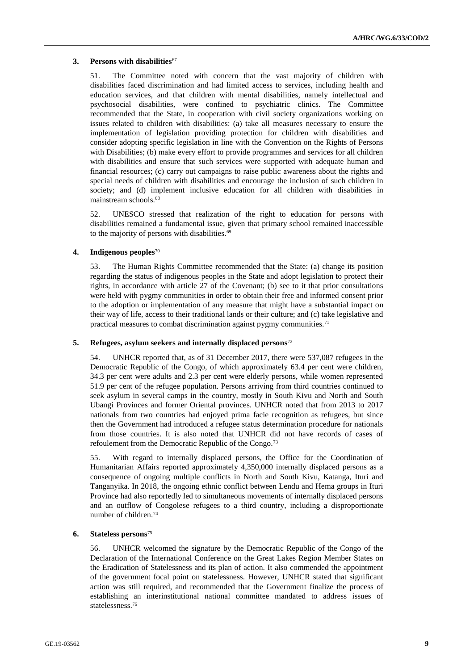### **3. Persons with disabilities**<sup>67</sup>

51. The Committee noted with concern that the vast majority of children with disabilities faced discrimination and had limited access to services, including health and education services, and that children with mental disabilities, namely intellectual and psychosocial disabilities, were confined to psychiatric clinics. The Committee recommended that the State, in cooperation with civil society organizations working on issues related to children with disabilities: (a) take all measures necessary to ensure the implementation of legislation providing protection for children with disabilities and consider adopting specific legislation in line with the Convention on the Rights of Persons with Disabilities; (b) make every effort to provide programmes and services for all children with disabilities and ensure that such services were supported with adequate human and financial resources; (c) carry out campaigns to raise public awareness about the rights and special needs of children with disabilities and encourage the inclusion of such children in society; and (d) implement inclusive education for all children with disabilities in mainstream schools.<sup>68</sup>

52. UNESCO stressed that realization of the right to education for persons with disabilities remained a fundamental issue, given that primary school remained inaccessible to the majority of persons with disabilities.<sup>69</sup>

#### **4. Indigenous peoples**<sup>70</sup>

53. The Human Rights Committee recommended that the State: (a) change its position regarding the status of indigenous peoples in the State and adopt legislation to protect their rights, in accordance with article 27 of the Covenant; (b) see to it that prior consultations were held with pygmy communities in order to obtain their free and informed consent prior to the adoption or implementation of any measure that might have a substantial impact on their way of life, access to their traditional lands or their culture; and (c) take legislative and practical measures to combat discrimination against pygmy communities.<sup>71</sup>

### **5. Refugees, asylum seekers and internally displaced persons**<sup>72</sup>

54. UNHCR reported that, as of 31 December 2017, there were 537,087 refugees in the Democratic Republic of the Congo, of which approximately 63.4 per cent were children, 34.3 per cent were adults and 2.3 per cent were elderly persons, while women represented 51.9 per cent of the refugee population. Persons arriving from third countries continued to seek asylum in several camps in the country, mostly in South Kivu and North and South Ubangi Provinces and former Oriental provinces. UNHCR noted that from 2013 to 2017 nationals from two countries had enjoyed prima facie recognition as refugees, but since then the Government had introduced a refugee status determination procedure for nationals from those countries. It is also noted that UNHCR did not have records of cases of refoulement from the Democratic Republic of the Congo.<sup>73</sup>

55. With regard to internally displaced persons, the Office for the Coordination of Humanitarian Affairs reported approximately 4,350,000 internally displaced persons as a consequence of ongoing multiple conflicts in North and South Kivu, Katanga, Ituri and Tanganyika. In 2018, the ongoing ethnic conflict between Lendu and Hema groups in Ituri Province had also reportedly led to simultaneous movements of internally displaced persons and an outflow of Congolese refugees to a third country, including a disproportionate number of children.<sup>74</sup>

### **6. Stateless persons**<sup>75</sup>

56. UNHCR welcomed the signature by the Democratic Republic of the Congo of the Declaration of the International Conference on the Great Lakes Region Member States on the Eradication of Statelessness and its plan of action. It also commended the appointment of the government focal point on statelessness. However, UNHCR stated that significant action was still required, and recommended that the Government finalize the process of establishing an interinstitutional national committee mandated to address issues of statelessness.76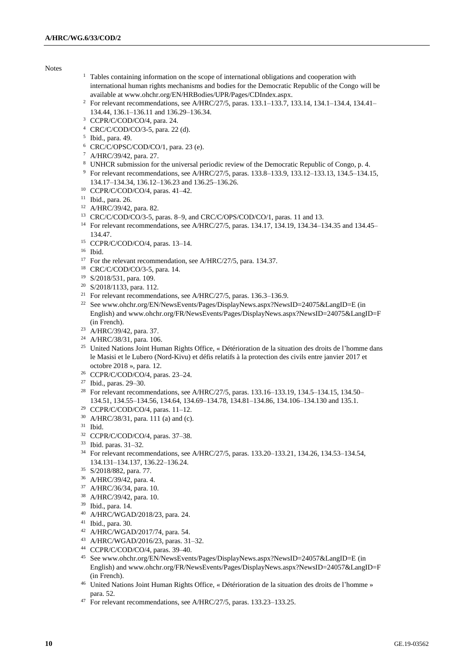Notes

- <sup>1</sup> Tables containing information on the scope of international obligations and cooperation with international human rights mechanisms and bodies for the Democratic Republic of the Congo will be available at [www.ohchr.org/EN/HRBodies/UPR/Pages/CDIndex.aspx.](http://www.ohchr.org/EN/HRBodies/UPR/Pages/CDIndex.aspx)
- For relevant recommendations, see A/HRC/27/5, paras. 133.1–133.7, 133.14, 134.1–134.4, 134.41– 134.44, 136.1–136.11 and 136.29–136.34.
- <sup>3</sup> CCPR/C/COD/CO/4, para. 24.
- CRC/C/COD/CO/3-5, para. 22 (d).
- Ibid., para. 49.
- CRC/C/OPSC/COD/CO/1, para. 23 (e).
- A/HRC/39/42, para. 27.
- 8 UNHCR submission for the universal periodic review of the Democratic Republic of Congo, p. 4. For relevant recommendations, see A/HRC/27/5, paras. 133.8–133.9, 133.12–133.13, 134.5–134.15, 134.17–134.34, 136.12–136.23 and 136.25–136.26.
- CCPR/C/COD/CO/4, paras. 41–42.
- Ibid., para. 26.
- A/HRC/39/42, para. 82.
- CRC/C/COD/CO/3-5, paras. 8–9, and CRC/C/OPS/COD/CO/1, paras. 11 and 13.
- For relevant recommendations, see A/HRC/27/5, paras. 134.17, 134.19, 134.34–134.35 and 134.45– 134.47.
- CCPR/C/COD/CO/4, paras. 13–14.
- Ibid.
- <sup>17</sup> For the relevant recommendation, see A/HRC/27/5, para. 134.37.
- CRC/C/COD/CO/3-5, para. 14.
- S/2018/531, para. 109.
- S/2018/1133, para. 112.
- <sup>21</sup> For relevant recommendations, see A/HRC/27/5, paras. 136.3-136.9.
- <sup>22</sup> See www.ohchr.org/EN/NewsEvents/Pages/DisplayNews.aspx?NewsID=24075&LangID=E (in English) and www.ohchr.org/FR/NewsEvents/Pages/DisplayNews.aspx?NewsID=24075&LangID=F (in French).
- A/HRC/39/42, para. 37.
- A/HRC/38/31, para. 106.
- United Nations Joint Human Rights Office, « Détérioration de la situation des droits de l'homme dans le Masisi et le Lubero (Nord-Kivu) et défis relatifs à la protection des civils entre janvier 2017 et octobre 2018 », para. 12.
- CCPR/C/COD/CO/4, paras. 23–24.
- Ibid., paras. 29–30.
- <sup>28</sup> For relevant recommendations, see A/HRC/27/5, paras. 133.16–133.19, 134.5–134.15, 134.50– 134.51, 134.55–134.56, 134.64, 134.69–134.78, 134.81–134.86, 134.106–134.130 and 135.1.
- CCPR/C/COD/CO/4, paras. 11–12.
- A/HRC/38/31, para. 111 (a) and (c).
- Ibid.
- CCPR/C/COD/CO/4, paras. 37–38.
- Ibid. paras. 31–32.
- For relevant recommendations, see A/HRC/27/5, paras. 133.20–133.21, 134.26, 134.53–134.54, 134.131–134.137, 136.22–136.24.
- S/2018/882, para. 77.
- A/HRC/39/42, para. 4.
- A/HRC/36/34, para. 10.
- A/HRC/39/42, para. 10.
- Ibid., para. 14.
- A/HRC/WGAD/2018/23, para. 24.
- Ibid., para. 30.
- A/HRC/WGAD/2017/74, para. 54.
- A/HRC/WGAD/2016/23, paras. 31–32.
- CCPR/C/COD/CO/4, paras. 39–40.
- Se[e www.ohchr.org/EN/NewsEvents/Pages/DisplayNews.aspx?NewsID=24057&LangID=E](https://www.ohchr.org/EN/NewsEvents/Pages/DisplayNews.aspx?NewsID=24057&LangID=E) (in English) and www.ohchr.org/FR/NewsEvents/Pages/DisplayNews.aspx?NewsID=24057&LangID=F (in French).
- United Nations Joint Human Rights Office, « Détérioration de la situation des droits de l'homme » para. 52.
- For relevant recommendations, see A/HRC/27/5, paras. 133.23–133.25.